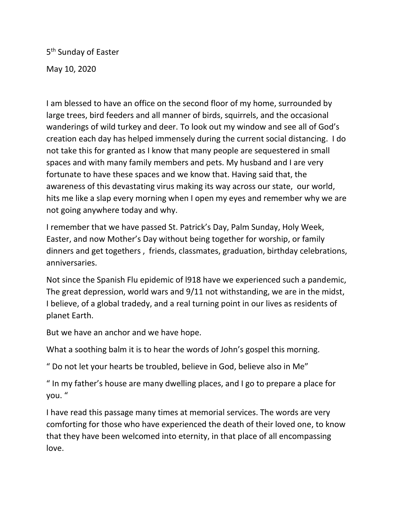5<sup>th</sup> Sunday of Easter May 10, 2020

I am blessed to have an office on the second floor of my home, surrounded by large trees, bird feeders and all manner of birds, squirrels, and the occasional wanderings of wild turkey and deer. To look out my window and see all of God's creation each day has helped immensely during the current social distancing. I do not take this for granted as I know that many people are sequestered in small spaces and with many family members and pets. My husband and I are very fortunate to have these spaces and we know that. Having said that, the awareness of this devastating virus making its way across our state, our world, hits me like a slap every morning when I open my eyes and remember why we are not going anywhere today and why.

I remember that we have passed St. Patrick's Day, Palm Sunday, Holy Week, Easter, and now Mother's Day without being together for worship, or family dinners and get togethers , friends, classmates, graduation, birthday celebrations, anniversaries.

Not since the Spanish Flu epidemic of l918 have we experienced such a pandemic, The great depression, world wars and 9/11 not withstanding, we are in the midst, I believe, of a global tradedy, and a real turning point in our lives as residents of planet Earth.

But we have an anchor and we have hope.

What a soothing balm it is to hear the words of John's gospel this morning.

" Do not let your hearts be troubled, believe in God, believe also in Me"

" In my father's house are many dwelling places, and I go to prepare a place for you. "

I have read this passage many times at memorial services. The words are very comforting for those who have experienced the death of their loved one, to know that they have been welcomed into eternity, in that place of all encompassing love.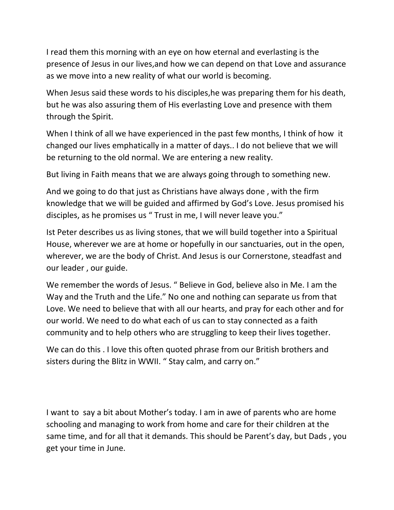I read them this morning with an eye on how eternal and everlasting is the presence of Jesus in our lives,and how we can depend on that Love and assurance as we move into a new reality of what our world is becoming.

When Jesus said these words to his disciples,he was preparing them for his death, but he was also assuring them of His everlasting Love and presence with them through the Spirit.

When I think of all we have experienced in the past few months, I think of how it changed our lives emphatically in a matter of days.. I do not believe that we will be returning to the old normal. We are entering a new reality.

But living in Faith means that we are always going through to something new.

And we going to do that just as Christians have always done , with the firm knowledge that we will be guided and affirmed by God's Love. Jesus promised his disciples, as he promises us " Trust in me, I will never leave you."

Ist Peter describes us as living stones, that we will build together into a Spiritual House, wherever we are at home or hopefully in our sanctuaries, out in the open, wherever, we are the body of Christ. And Jesus is our Cornerstone, steadfast and our leader , our guide.

We remember the words of Jesus. " Believe in God, believe also in Me. I am the Way and the Truth and the Life." No one and nothing can separate us from that Love. We need to believe that with all our hearts, and pray for each other and for our world. We need to do what each of us can to stay connected as a faith community and to help others who are struggling to keep their lives together.

We can do this . I love this often quoted phrase from our British brothers and sisters during the Blitz in WWII. " Stay calm, and carry on."

I want to say a bit about Mother's today. I am in awe of parents who are home schooling and managing to work from home and care for their children at the same time, and for all that it demands. This should be Parent's day, but Dads , you get your time in June.